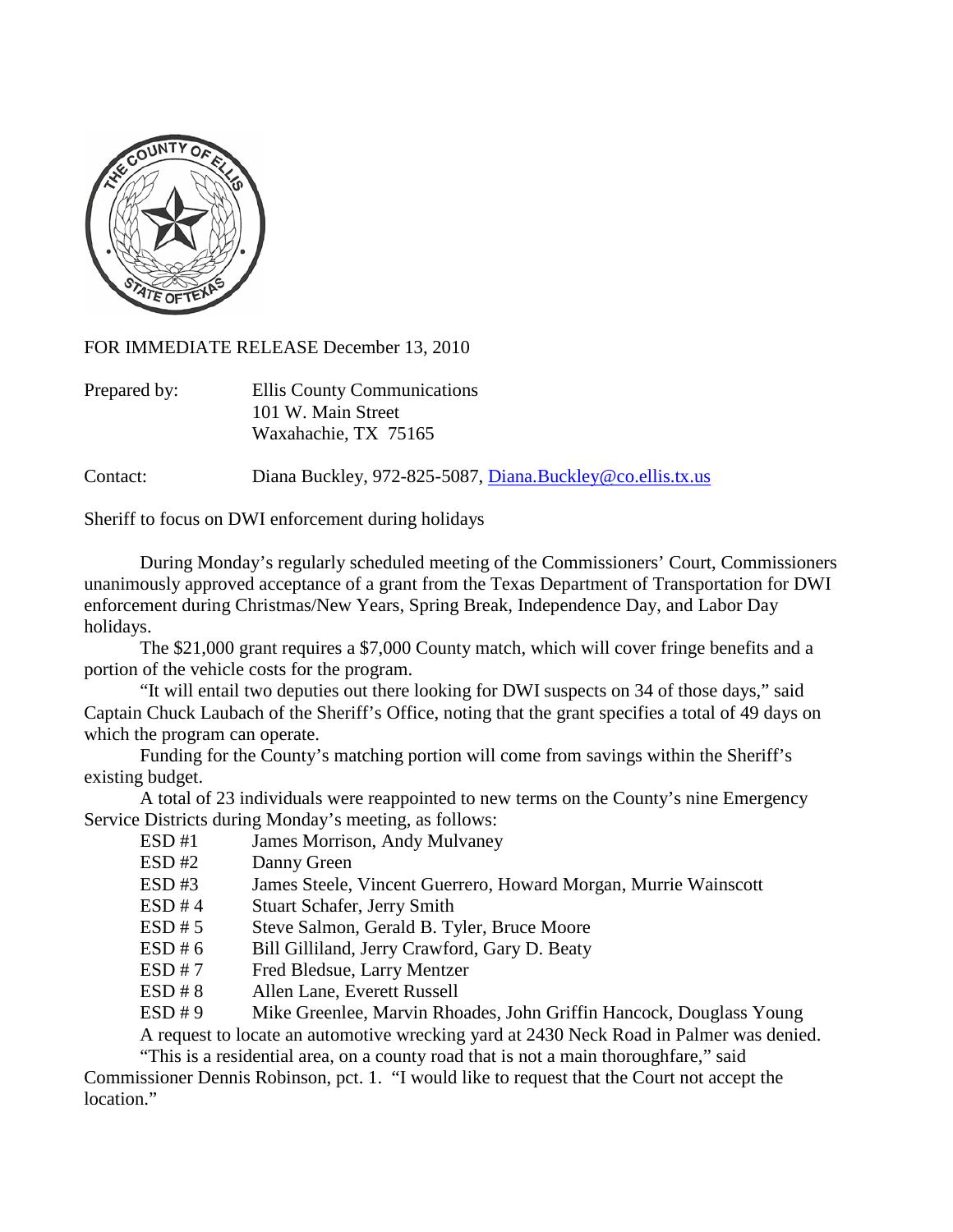

FOR IMMEDIATE RELEASE December 13, 2010

| Prepared by: | Ellis County Communications |
|--------------|-----------------------------|
|              | 101 W. Main Street          |
|              | Waxahachie, TX 75165        |

Contact: Diana Buckley, 972-825-5087, [Diana.Buckley@co.ellis.tx.us](mailto:Diana.Buckley@co.ellis.tx.us)

Sheriff to focus on DWI enforcement during holidays

During Monday's regularly scheduled meeting of the Commissioners' Court, Commissioners unanimously approved acceptance of a grant from the Texas Department of Transportation for DWI enforcement during Christmas/New Years, Spring Break, Independence Day, and Labor Day holidays.

The \$21,000 grant requires a \$7,000 County match, which will cover fringe benefits and a portion of the vehicle costs for the program.

"It will entail two deputies out there looking for DWI suspects on 34 of those days," said Captain Chuck Laubach of the Sheriff's Office, noting that the grant specifies a total of 49 days on which the program can operate.

Funding for the County's matching portion will come from savings within the Sheriff's existing budget.

A total of 23 individuals were reappointed to new terms on the County's nine Emergency Service Districts during Monday's meeting, as follows:

ESD #1 James Morrison, Andy Mulvaney

- ESD #2 Danny Green
- ESD #3 James Steele, Vincent Guerrero, Howard Morgan, Murrie Wainscott
- ESD #4 Stuart Schafer, Jerry Smith
- ESD # 5 Steve Salmon, Gerald B. Tyler, Bruce Moore
- ESD # 6 Bill Gilliland, Jerry Crawford, Gary D. Beaty
- ESD # 7 Fred Bledsue, Larry Mentzer
- ESD # 8 Allen Lane, Everett Russell
- ESD # 9 Mike Greenlee, Marvin Rhoades, John Griffin Hancock, Douglass Young

A request to locate an automotive wrecking yard at 2430 Neck Road in Palmer was denied.

"This is a residential area, on a county road that is not a main thoroughfare," said Commissioner Dennis Robinson, pct. 1. "I would like to request that the Court not accept the location."